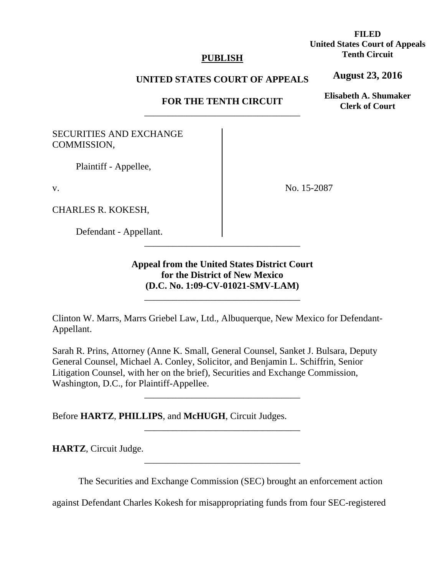### **PUBLISH**

## **UNITED STATES COURT OF APPEALS**

# **FOR THE TENTH CIRCUIT**  \_\_\_\_\_\_\_\_\_\_\_\_\_\_\_\_\_\_\_\_\_\_\_\_\_\_\_\_\_\_\_\_\_

# SECURITIES AND EXCHANGE COMMISSION,

Plaintiff - Appellee,

v.

CHARLES R. KOKESH,

Defendant - Appellant.

No. 15-2087

**Appeal from the United States District Court for the District of New Mexico (D.C. No. 1:09-CV-01021-SMV-LAM)**

\_\_\_\_\_\_\_\_\_\_\_\_\_\_\_\_\_\_\_\_\_\_\_\_\_\_\_\_\_\_\_\_\_

\_\_\_\_\_\_\_\_\_\_\_\_\_\_\_\_\_\_\_\_\_\_\_\_\_\_\_\_\_\_\_\_\_

Clinton W. Marrs, Marrs Griebel Law, Ltd., Albuquerque, New Mexico for Defendant-Appellant.

Sarah R. Prins, Attorney (Anne K. Small, General Counsel, Sanket J. Bulsara, Deputy General Counsel, Michael A. Conley, Solicitor, and Benjamin L. Schiffrin, Senior Litigation Counsel, with her on the brief), Securities and Exchange Commission, Washington, D.C., for Plaintiff-Appellee.

\_\_\_\_\_\_\_\_\_\_\_\_\_\_\_\_\_\_\_\_\_\_\_\_\_\_\_\_\_\_\_\_\_

\_\_\_\_\_\_\_\_\_\_\_\_\_\_\_\_\_\_\_\_\_\_\_\_\_\_\_\_\_\_\_\_\_

\_\_\_\_\_\_\_\_\_\_\_\_\_\_\_\_\_\_\_\_\_\_\_\_\_\_\_\_\_\_\_\_\_

Before **HARTZ**, **PHILLIPS**, and **McHUGH**, Circuit Judges.

**HARTZ**, Circuit Judge.

The Securities and Exchange Commission (SEC) brought an enforcement action

against Defendant Charles Kokesh for misappropriating funds from four SEC-registered

**FILED United States Court of Appeals Tenth Circuit** 

**August 23, 2016**

**Elisabeth A. Shumaker Clerk of Court**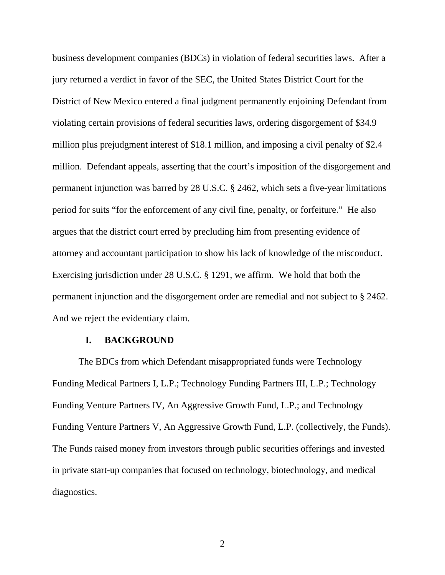business development companies (BDCs) in violation of federal securities laws. After a jury returned a verdict in favor of the SEC, the United States District Court for the District of New Mexico entered a final judgment permanently enjoining Defendant from violating certain provisions of federal securities laws, ordering disgorgement of \$34.9 million plus prejudgment interest of \$18.1 million, and imposing a civil penalty of \$2.4 million. Defendant appeals, asserting that the court's imposition of the disgorgement and permanent injunction was barred by 28 U.S.C. § 2462, which sets a five-year limitations period for suits "for the enforcement of any civil fine, penalty, or forfeiture." He also argues that the district court erred by precluding him from presenting evidence of attorney and accountant participation to show his lack of knowledge of the misconduct. Exercising jurisdiction under 28 U.S.C. § 1291, we affirm. We hold that both the permanent injunction and the disgorgement order are remedial and not subject to § 2462. And we reject the evidentiary claim.

#### **I. BACKGROUND**

The BDCs from which Defendant misappropriated funds were Technology Funding Medical Partners I, L.P.; Technology Funding Partners III, L.P.; Technology Funding Venture Partners IV, An Aggressive Growth Fund, L.P.; and Technology Funding Venture Partners V, An Aggressive Growth Fund, L.P. (collectively, the Funds). The Funds raised money from investors through public securities offerings and invested in private start-up companies that focused on technology, biotechnology, and medical diagnostics.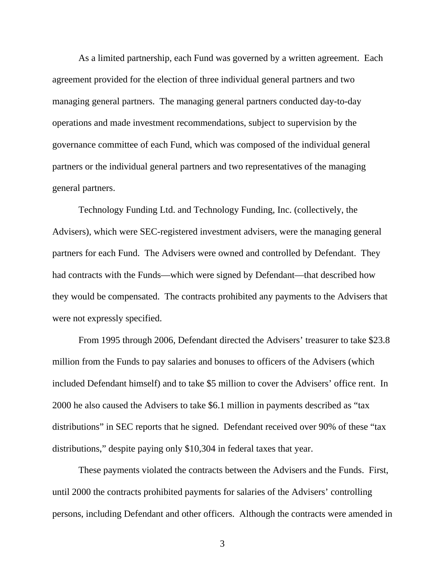As a limited partnership, each Fund was governed by a written agreement. Each agreement provided for the election of three individual general partners and two managing general partners. The managing general partners conducted day-to-day operations and made investment recommendations, subject to supervision by the governance committee of each Fund, which was composed of the individual general partners or the individual general partners and two representatives of the managing general partners.

Technology Funding Ltd. and Technology Funding, Inc. (collectively, the Advisers), which were SEC-registered investment advisers, were the managing general partners for each Fund. The Advisers were owned and controlled by Defendant. They had contracts with the Funds—which were signed by Defendant—that described how they would be compensated. The contracts prohibited any payments to the Advisers that were not expressly specified.

From 1995 through 2006, Defendant directed the Advisers' treasurer to take \$23.8 million from the Funds to pay salaries and bonuses to officers of the Advisers (which included Defendant himself) and to take \$5 million to cover the Advisers' office rent. In 2000 he also caused the Advisers to take \$6.1 million in payments described as "tax distributions" in SEC reports that he signed. Defendant received over 90% of these "tax distributions," despite paying only \$10,304 in federal taxes that year.

These payments violated the contracts between the Advisers and the Funds. First, until 2000 the contracts prohibited payments for salaries of the Advisers' controlling persons, including Defendant and other officers. Although the contracts were amended in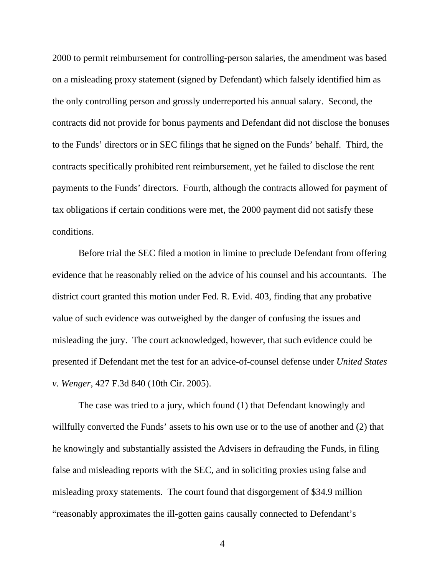2000 to permit reimbursement for controlling-person salaries, the amendment was based on a misleading proxy statement (signed by Defendant) which falsely identified him as the only controlling person and grossly underreported his annual salary. Second, the contracts did not provide for bonus payments and Defendant did not disclose the bonuses to the Funds' directors or in SEC filings that he signed on the Funds' behalf. Third, the contracts specifically prohibited rent reimbursement, yet he failed to disclose the rent payments to the Funds' directors. Fourth, although the contracts allowed for payment of tax obligations if certain conditions were met, the 2000 payment did not satisfy these conditions.

Before trial the SEC filed a motion in limine to preclude Defendant from offering evidence that he reasonably relied on the advice of his counsel and his accountants. The district court granted this motion under Fed. R. Evid. 403, finding that any probative value of such evidence was outweighed by the danger of confusing the issues and misleading the jury. The court acknowledged, however, that such evidence could be presented if Defendant met the test for an advice-of-counsel defense under *United States v. Wenger*, 427 F.3d 840 (10th Cir. 2005).

The case was tried to a jury, which found (1) that Defendant knowingly and willfully converted the Funds' assets to his own use or to the use of another and (2) that he knowingly and substantially assisted the Advisers in defrauding the Funds, in filing false and misleading reports with the SEC, and in soliciting proxies using false and misleading proxy statements. The court found that disgorgement of \$34.9 million "reasonably approximates the ill-gotten gains causally connected to Defendant's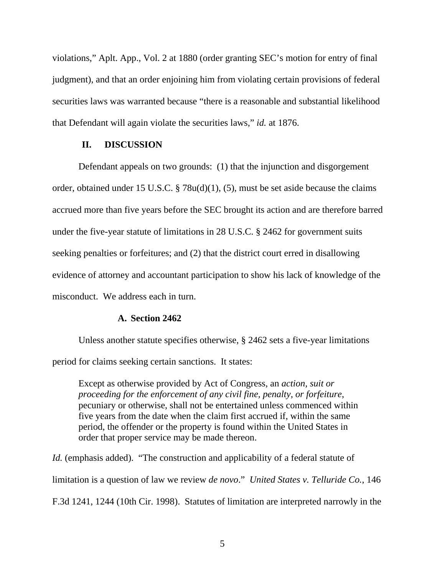violations," Aplt. App., Vol. 2 at 1880 (order granting SEC's motion for entry of final judgment), and that an order enjoining him from violating certain provisions of federal securities laws was warranted because "there is a reasonable and substantial likelihood that Defendant will again violate the securities laws," *id.* at 1876.

## **II. DISCUSSION**

Defendant appeals on two grounds: (1) that the injunction and disgorgement order, obtained under 15 U.S.C. § 78u(d)(1), (5), must be set aside because the claims accrued more than five years before the SEC brought its action and are therefore barred under the five-year statute of limitations in 28 U.S.C. § 2462 for government suits seeking penalties or forfeitures; and (2) that the district court erred in disallowing evidence of attorney and accountant participation to show his lack of knowledge of the misconduct. We address each in turn.

#### **A. Section 2462**

Unless another statute specifies otherwise, § 2462 sets a five-year limitations period for claims seeking certain sanctions. It states:

Except as otherwise provided by Act of Congress, an *action, suit or proceeding for the enforcement of any civil fine, penalty, or forfeiture*, pecuniary or otherwise, shall not be entertained unless commenced within five years from the date when the claim first accrued if, within the same period, the offender or the property is found within the United States in order that proper service may be made thereon.

*Id.* (emphasis added). "The construction and applicability of a federal statute of limitation is a question of law we review *de novo*." *United States v. Telluride Co.*, 146 F.3d 1241, 1244 (10th Cir. 1998). Statutes of limitation are interpreted narrowly in the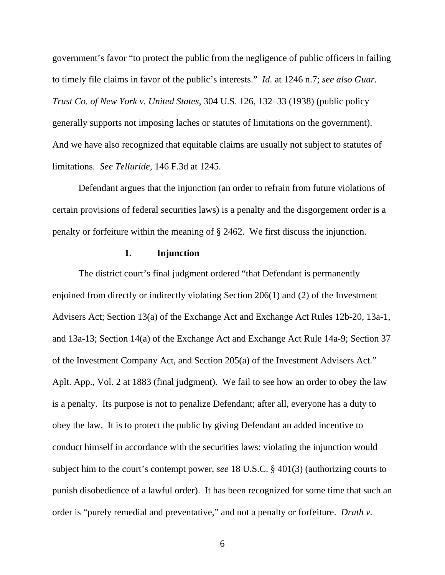government's favor "to protect the public from the negligence of public officers in failing to timely file claims in favor of the public's interests." *Id.* at 1246 n.7; *see also Guar. Trust Co. of New York v. United States*, 304 U.S. 126, 132–33 (1938) (public policy generally supports not imposing laches or statutes of limitations on the government). And we have also recognized that equitable claims are usually not subject to statutes of limitations. *See Telluride*, 146 F.3d at 1245.

Defendant argues that the injunction (an order to refrain from future violations of certain provisions of federal securities laws) is a penalty and the disgorgement order is a penalty or forfeiture within the meaning of § 2462. We first discuss the injunction.

# **1. Injunction**

The district court's final judgment ordered "that Defendant is permanently enjoined from directly or indirectly violating Section 206(1) and (2) of the Investment Advisers Act; Section 13(a) of the Exchange Act and Exchange Act Rules 12b-20, 13a-1, and 13a-13; Section 14(a) of the Exchange Act and Exchange Act Rule 14a-9; Section 37 of the Investment Company Act, and Section 205(a) of the Investment Advisers Act." Aplt. App., Vol. 2 at 1883 (final judgment). We fail to see how an order to obey the law is a penalty. Its purpose is not to penalize Defendant; after all, everyone has a duty to obey the law. It is to protect the public by giving Defendant an added incentive to conduct himself in accordance with the securities laws: violating the injunction would subject him to the court's contempt power, *see* 18 U.S.C. § 401(3) (authorizing courts to punish disobedience of a lawful order). It has been recognized for some time that such an order is "purely remedial and preventative," and not a penalty or forfeiture. *Drath v.*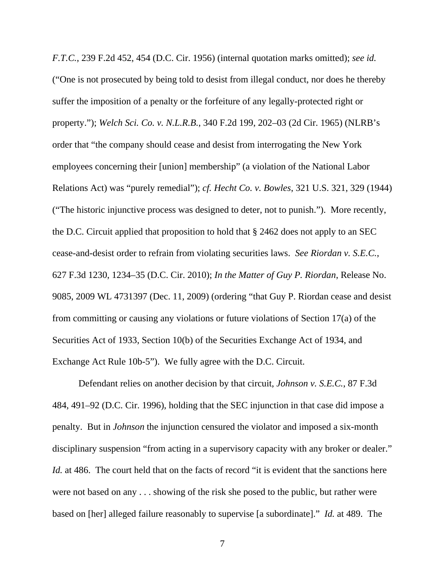*F.T.C.*, 239 F.2d 452, 454 (D.C. Cir. 1956) (internal quotation marks omitted); *see id.* ("One is not prosecuted by being told to desist from illegal conduct, nor does he thereby suffer the imposition of a penalty or the forfeiture of any legally-protected right or property."); *Welch Sci. Co. v. N.L.R.B.*, 340 F.2d 199, 202–03 (2d Cir. 1965) (NLRB's order that "the company should cease and desist from interrogating the New York employees concerning their [union] membership" (a violation of the National Labor Relations Act) was "purely remedial"); *cf. Hecht Co. v. Bowles*, 321 U.S. 321, 329 (1944) ("The historic injunctive process was designed to deter, not to punish."). More recently, the D.C. Circuit applied that proposition to hold that § 2462 does not apply to an SEC cease-and-desist order to refrain from violating securities laws. *See Riordan v. S.E.C.*, 627 F.3d 1230, 1234–35 (D.C. Cir. 2010); *In the Matter of Guy P. Riordan*, Release No. 9085, 2009 WL 4731397 (Dec. 11, 2009) (ordering "that Guy P. Riordan cease and desist from committing or causing any violations or future violations of Section 17(a) of the Securities Act of 1933, Section 10(b) of the Securities Exchange Act of 1934, and Exchange Act Rule 10b-5"). We fully agree with the D.C. Circuit.

Defendant relies on another decision by that circuit, *Johnson v. S.E.C.*, 87 F.3d 484, 491–92 (D.C. Cir. 1996), holding that the SEC injunction in that case did impose a penalty. But in *Johnson* the injunction censured the violator and imposed a six-month disciplinary suspension "from acting in a supervisory capacity with any broker or dealer." *Id.* at 486. The court held that on the facts of record "it is evident that the sanctions here were not based on any . . . showing of the risk she posed to the public, but rather were based on [her] alleged failure reasonably to supervise [a subordinate]." *Id.* at 489. The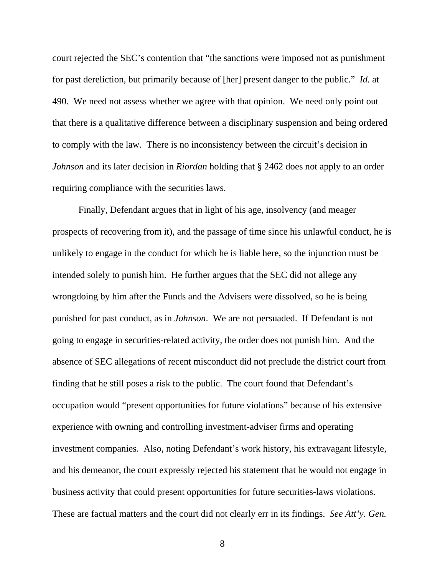court rejected the SEC's contention that "the sanctions were imposed not as punishment for past dereliction, but primarily because of [her] present danger to the public." *Id.* at 490. We need not assess whether we agree with that opinion. We need only point out that there is a qualitative difference between a disciplinary suspension and being ordered to comply with the law. There is no inconsistency between the circuit's decision in *Johnson* and its later decision in *Riordan* holding that § 2462 does not apply to an order requiring compliance with the securities laws.

Finally, Defendant argues that in light of his age, insolvency (and meager prospects of recovering from it), and the passage of time since his unlawful conduct, he is unlikely to engage in the conduct for which he is liable here, so the injunction must be intended solely to punish him. He further argues that the SEC did not allege any wrongdoing by him after the Funds and the Advisers were dissolved, so he is being punished for past conduct, as in *Johnson*. We are not persuaded. If Defendant is not going to engage in securities-related activity, the order does not punish him. And the absence of SEC allegations of recent misconduct did not preclude the district court from finding that he still poses a risk to the public. The court found that Defendant's occupation would "present opportunities for future violations" because of his extensive experience with owning and controlling investment-adviser firms and operating investment companies. Also, noting Defendant's work history, his extravagant lifestyle, and his demeanor, the court expressly rejected his statement that he would not engage in business activity that could present opportunities for future securities-laws violations. These are factual matters and the court did not clearly err in its findings. *See Att'y. Gen.*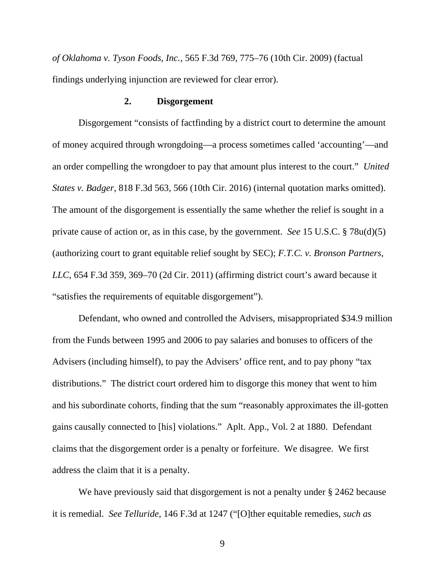*of Oklahoma v. Tyson Foods, Inc.*, 565 F.3d 769, 775–76 (10th Cir. 2009) (factual findings underlying injunction are reviewed for clear error).

#### **2. Disgorgement**

Disgorgement "consists of factfinding by a district court to determine the amount of money acquired through wrongdoing—a process sometimes called 'accounting'—and an order compelling the wrongdoer to pay that amount plus interest to the court." *United States v. Badger*, 818 F.3d 563, 566 (10th Cir. 2016) (internal quotation marks omitted). The amount of the disgorgement is essentially the same whether the relief is sought in a private cause of action or, as in this case, by the government. *See* 15 U.S.C. § 78u(d)(5) (authorizing court to grant equitable relief sought by SEC); *F.T.C. v. Bronson Partners, LLC*, 654 F.3d 359, 369–70 (2d Cir. 2011) (affirming district court's award because it "satisfies the requirements of equitable disgorgement").

Defendant, who owned and controlled the Advisers, misappropriated \$34.9 million from the Funds between 1995 and 2006 to pay salaries and bonuses to officers of the Advisers (including himself), to pay the Advisers' office rent, and to pay phony "tax distributions." The district court ordered him to disgorge this money that went to him and his subordinate cohorts, finding that the sum "reasonably approximates the ill-gotten gains causally connected to [his] violations." Aplt. App., Vol. 2 at 1880. Defendant claims that the disgorgement order is a penalty or forfeiture. We disagree. We first address the claim that it is a penalty.

We have previously said that disgorgement is not a penalty under § 2462 because it is remedial. *See Telluride*, 146 F.3d at 1247 ("[O]ther equitable remedies, *such as*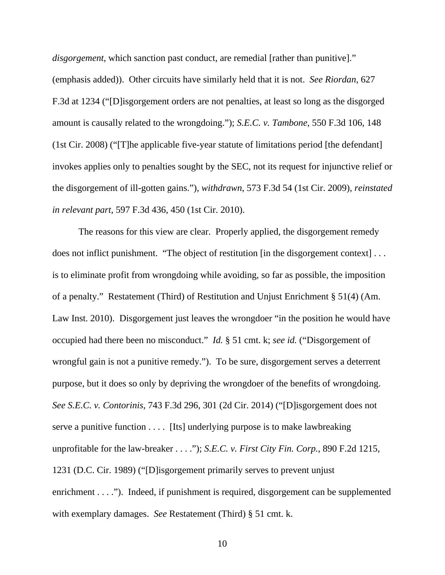*disgorgement*, which sanction past conduct, are remedial [rather than punitive]." (emphasis added)). Other circuits have similarly held that it is not. *See Riordan*, 627 F.3d at 1234 ("[D]isgorgement orders are not penalties, at least so long as the disgorged amount is causally related to the wrongdoing."); *S.E.C. v. Tambone*, 550 F.3d 106, 148 (1st Cir. 2008) ("[T]he applicable five-year statute of limitations period [the defendant] invokes applies only to penalties sought by the SEC, not its request for injunctive relief or the disgorgement of ill-gotten gains."), *withdrawn*, 573 F.3d 54 (1st Cir. 2009), *reinstated in relevant part*, 597 F.3d 436, 450 (1st Cir. 2010).

The reasons for this view are clear. Properly applied, the disgorgement remedy does not inflict punishment. "The object of restitution [in the disgorgement context] . . . is to eliminate profit from wrongdoing while avoiding, so far as possible, the imposition of a penalty." Restatement (Third) of Restitution and Unjust Enrichment § 51(4) (Am. Law Inst. 2010). Disgorgement just leaves the wrongdoer "in the position he would have occupied had there been no misconduct." *Id.* § 51 cmt. k; *see id.* ("Disgorgement of wrongful gain is not a punitive remedy."). To be sure, disgorgement serves a deterrent purpose, but it does so only by depriving the wrongdoer of the benefits of wrongdoing. *See S.E.C. v. Contorinis*, 743 F.3d 296, 301 (2d Cir. 2014) ("[D]isgorgement does not serve a punitive function . . . . [Its] underlying purpose is to make lawbreaking unprofitable for the law-breaker . . . ."); *S.E.C. v. First City Fin. Corp.*, 890 F.2d 1215, 1231 (D.C. Cir. 1989) ("[D]isgorgement primarily serves to prevent unjust enrichment . . . ."). Indeed, if punishment is required, disgorgement can be supplemented with exemplary damages. *See* Restatement (Third) § 51 cmt. k.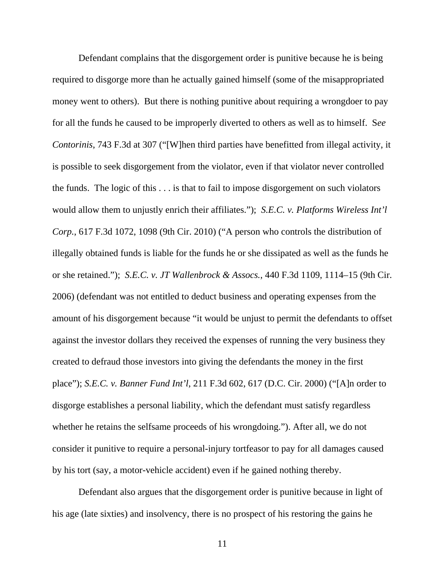Defendant complains that the disgorgement order is punitive because he is being required to disgorge more than he actually gained himself (some of the misappropriated money went to others). But there is nothing punitive about requiring a wrongdoer to pay for all the funds he caused to be improperly diverted to others as well as to himself. S*ee Contorinis*, 743 F.3d at 307 ("[W]hen third parties have benefitted from illegal activity, it is possible to seek disgorgement from the violator, even if that violator never controlled the funds. The logic of this . . . is that to fail to impose disgorgement on such violators would allow them to unjustly enrich their affiliates."); *S.E.C. v. Platforms Wireless Int'l Corp.*, 617 F.3d 1072, 1098 (9th Cir. 2010) ("A person who controls the distribution of illegally obtained funds is liable for the funds he or she dissipated as well as the funds he or she retained."); *S.E.C. v. JT Wallenbrock & Assocs.*, 440 F.3d 1109, 1114–15 (9th Cir. 2006) (defendant was not entitled to deduct business and operating expenses from the amount of his disgorgement because "it would be unjust to permit the defendants to offset against the investor dollars they received the expenses of running the very business they created to defraud those investors into giving the defendants the money in the first place"); *S.E.C. v. Banner Fund Int'l*, 211 F.3d 602, 617 (D.C. Cir. 2000) ("[A]n order to disgorge establishes a personal liability, which the defendant must satisfy regardless whether he retains the selfsame proceeds of his wrongdoing."). After all, we do not consider it punitive to require a personal-injury tortfeasor to pay for all damages caused by his tort (say, a motor-vehicle accident) even if he gained nothing thereby.

Defendant also argues that the disgorgement order is punitive because in light of his age (late sixties) and insolvency, there is no prospect of his restoring the gains he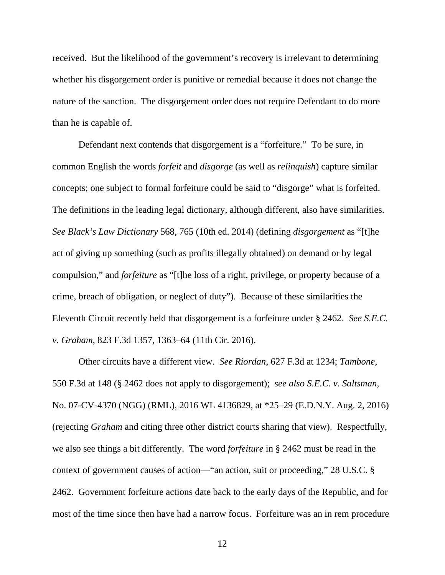received. But the likelihood of the government's recovery is irrelevant to determining whether his disgorgement order is punitive or remedial because it does not change the nature of the sanction. The disgorgement order does not require Defendant to do more than he is capable of.

Defendant next contends that disgorgement is a "forfeiture." To be sure, in common English the words *forfeit* and *disgorge* (as well as *relinquish*) capture similar concepts; one subject to formal forfeiture could be said to "disgorge" what is forfeited. The definitions in the leading legal dictionary, although different, also have similarities. *See Black's Law Dictionary* 568, 765 (10th ed. 2014) (defining *disgorgement* as "[t]he act of giving up something (such as profits illegally obtained) on demand or by legal compulsion," and *forfeiture* as "[t]he loss of a right, privilege, or property because of a crime, breach of obligation, or neglect of duty"). Because of these similarities the Eleventh Circuit recently held that disgorgement is a forfeiture under § 2462. *See S.E.C. v. Graham*, 823 F.3d 1357, 1363–64 (11th Cir. 2016).

Other circuits have a different view. *See Riordan*, 627 F.3d at 1234; *Tambone*, 550 F.3d at 148 (§ 2462 does not apply to disgorgement); *see also S.E.C. v. Saltsman,*  No. 07-CV-4370 (NGG) (RML), 2016 WL 4136829, at \*25–29 (E.D.N.Y. Aug. 2, 2016) (rejecting *Graham* and citing three other district courts sharing that view). Respectfully, we also see things a bit differently. The word *forfeiture* in § 2462 must be read in the context of government causes of action—"an action, suit or proceeding," 28 U.S.C. § 2462. Government forfeiture actions date back to the early days of the Republic, and for most of the time since then have had a narrow focus. Forfeiture was an in rem procedure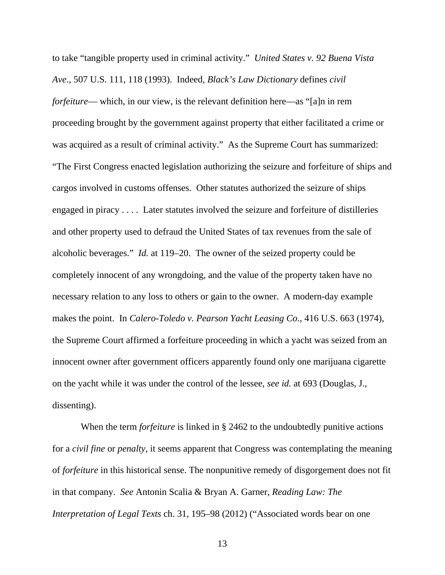to take "tangible property used in criminal activity." *United States v. 92 Buena Vista Ave*., 507 U.S. 111, 118 (1993). Indeed, *Black's Law Dictionary* defines *civil forfeiture*— which, in our view, is the relevant definition here—as "[a]n in rem proceeding brought by the government against property that either facilitated a crime or was acquired as a result of criminal activity." As the Supreme Court has summarized: "The First Congress enacted legislation authorizing the seizure and forfeiture of ships and cargos involved in customs offenses. Other statutes authorized the seizure of ships engaged in piracy . . . . Later statutes involved the seizure and forfeiture of distilleries and other property used to defraud the United States of tax revenues from the sale of alcoholic beverages." *Id.* at 119–20. The owner of the seized property could be completely innocent of any wrongdoing, and the value of the property taken have no necessary relation to any loss to others or gain to the owner. A modern-day example makes the point. In *Calero-Toledo v. Pearson Yacht Leasing Co.*, 416 U.S. 663 (1974), the Supreme Court affirmed a forfeiture proceeding in which a yacht was seized from an innocent owner after government officers apparently found only one marijuana cigarette on the yacht while it was under the control of the lessee, *see id.* at 693 (Douglas, J., dissenting).

 When the term *forfeiture* is linked in § 2462 to the undoubtedly punitive actions for a *civil fine* or *penalty*, it seems apparent that Congress was contemplating the meaning of *forfeiture* in this historical sense. The nonpunitive remedy of disgorgement does not fit in that company. *See* Antonin Scalia & Bryan A. Garner, *Reading Law: The Interpretation of Legal Texts* ch. 31, 195–98 (2012) ("Associated words bear on one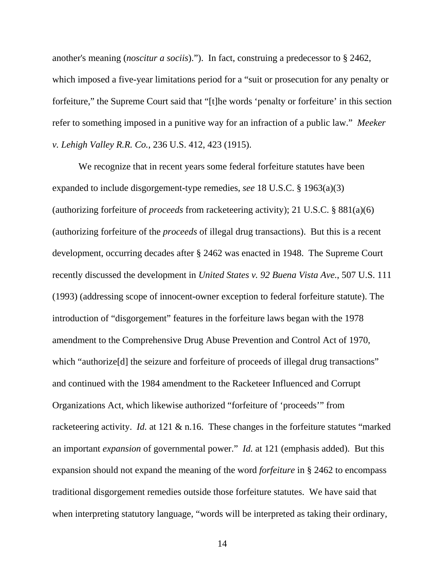another's meaning (*noscitur a sociis*)."). In fact, construing a predecessor to § 2462, which imposed a five-year limitations period for a "suit or prosecution for any penalty or forfeiture," the Supreme Court said that "[t]he words 'penalty or forfeiture' in this section refer to something imposed in a punitive way for an infraction of a public law." *Meeker v. Lehigh Valley R.R. Co.*, 236 U.S. 412, 423 (1915).

We recognize that in recent years some federal forfeiture statutes have been expanded to include disgorgement-type remedies, *see* 18 U.S.C. § 1963(a)(3) (authorizing forfeiture of *proceeds* from racketeering activity); 21 U.S.C. § 881(a)(6) (authorizing forfeiture of the *proceeds* of illegal drug transactions). But this is a recent development, occurring decades after § 2462 was enacted in 1948. The Supreme Court recently discussed the development in *United States v. 92 Buena Vista Ave.*, 507 U.S. 111 (1993) (addressing scope of innocent-owner exception to federal forfeiture statute). The introduction of "disgorgement" features in the forfeiture laws began with the 1978 amendment to the Comprehensive Drug Abuse Prevention and Control Act of 1970, which "authorize<sup>[d]</sup> the seizure and forfeiture of proceeds of illegal drug transactions" and continued with the 1984 amendment to the Racketeer Influenced and Corrupt Organizations Act, which likewise authorized "forfeiture of 'proceeds'" from racketeering activity. *Id.* at 121 & n.16. These changes in the forfeiture statutes "marked" an important *expansion* of governmental power." *Id.* at 121 (emphasis added). But this expansion should not expand the meaning of the word *forfeiture* in § 2462 to encompass traditional disgorgement remedies outside those forfeiture statutes. We have said that when interpreting statutory language, "words will be interpreted as taking their ordinary,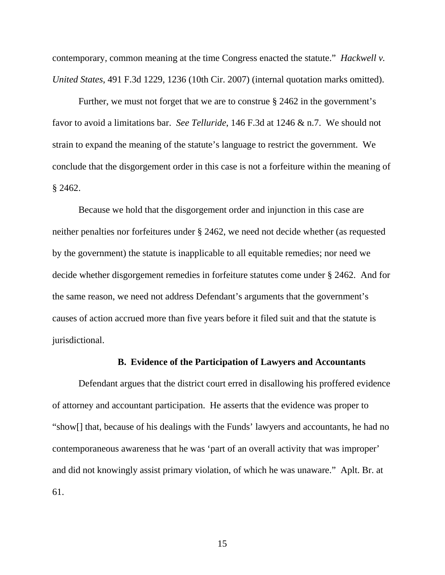contemporary, common meaning at the time Congress enacted the statute." *Hackwell v. United States*, 491 F.3d 1229, 1236 (10th Cir. 2007) (internal quotation marks omitted).

Further, we must not forget that we are to construe § 2462 in the government's favor to avoid a limitations bar. *See Telluride*, 146 F.3d at 1246 & n.7. We should not strain to expand the meaning of the statute's language to restrict the government. We conclude that the disgorgement order in this case is not a forfeiture within the meaning of § 2462.

Because we hold that the disgorgement order and injunction in this case are neither penalties nor forfeitures under § 2462, we need not decide whether (as requested by the government) the statute is inapplicable to all equitable remedies; nor need we decide whether disgorgement remedies in forfeiture statutes come under § 2462. And for the same reason, we need not address Defendant's arguments that the government's causes of action accrued more than five years before it filed suit and that the statute is jurisdictional.

#### **B. Evidence of the Participation of Lawyers and Accountants**

Defendant argues that the district court erred in disallowing his proffered evidence of attorney and accountant participation. He asserts that the evidence was proper to "show[] that, because of his dealings with the Funds' lawyers and accountants, he had no contemporaneous awareness that he was 'part of an overall activity that was improper' and did not knowingly assist primary violation, of which he was unaware." Aplt. Br. at 61.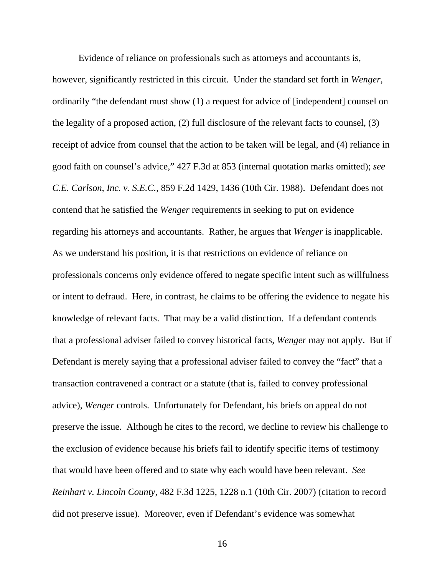Evidence of reliance on professionals such as attorneys and accountants is,

however, significantly restricted in this circuit. Under the standard set forth in *Wenger*, ordinarily "the defendant must show (1) a request for advice of [independent] counsel on the legality of a proposed action, (2) full disclosure of the relevant facts to counsel, (3) receipt of advice from counsel that the action to be taken will be legal, and (4) reliance in good faith on counsel's advice," 427 F.3d at 853 (internal quotation marks omitted); *see C.E. Carlson, Inc. v. S.E.C.*, 859 F.2d 1429, 1436 (10th Cir. 1988). Defendant does not contend that he satisfied the *Wenger* requirements in seeking to put on evidence regarding his attorneys and accountants. Rather, he argues that *Wenger* is inapplicable. As we understand his position, it is that restrictions on evidence of reliance on professionals concerns only evidence offered to negate specific intent such as willfulness or intent to defraud. Here, in contrast, he claims to be offering the evidence to negate his knowledge of relevant facts. That may be a valid distinction. If a defendant contends that a professional adviser failed to convey historical facts, *Wenger* may not apply. But if Defendant is merely saying that a professional adviser failed to convey the "fact" that a transaction contravened a contract or a statute (that is, failed to convey professional advice), *Wenger* controls. Unfortunately for Defendant, his briefs on appeal do not preserve the issue. Although he cites to the record, we decline to review his challenge to the exclusion of evidence because his briefs fail to identify specific items of testimony that would have been offered and to state why each would have been relevant. *See Reinhart v. Lincoln County*, 482 F.3d 1225, 1228 n.1 (10th Cir. 2007) (citation to record did not preserve issue). Moreover, even if Defendant's evidence was somewhat